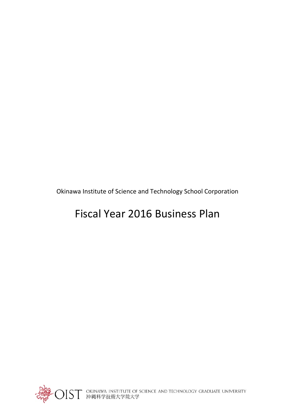Okinawa Institute of Science and Technology School Corporation

# Fiscal Year 2016 Business Plan



○IST OKINAWA INSTITUTE OF SCIENCE AND TECHNOLOGY GRADUATE UNIVERSITY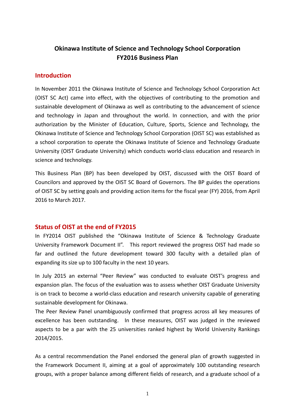# **Okinawa Institute of Science and Technology School Corporation FY2016 Business Plan**

## **Introduction**

In November 2011 the Okinawa Institute of Science and Technology School Corporation Act (OIST SC Act) came into effect, with the objectives of contributing to the promotion and sustainable development of Okinawa as well as contributing to the advancement of science and technology in Japan and throughout the world. In connection, and with the prior authorization by the Minister of Education, Culture, Sports, Science and Technology, the Okinawa Institute of Science and Technology School Corporation (OIST SC) was established as a school corporation to operate the Okinawa Institute of Science and Technology Graduate University (OIST Graduate University) which conducts world‐class education and research in science and technology.

This Business Plan (BP) has been developed by OIST, discussed with the OIST Board of Councilors and approved by the OIST SC Board of Governors. The BP guides the operations of OIST SC by setting goals and providing action items for the fiscal year (FY) 2016, from April 2016 to March 2017.

# **Status of OIST at the end of FY2015**

In FY2014 OIST published the "Okinawa Institute of Science & Technology Graduate University Framework Document II". This report reviewed the progress OIST had made so far and outlined the future development toward 300 faculty with a detailed plan of expanding its size up to 100 faculty in the next 10 years.

In July 2015 an external "Peer Review" was conducted to evaluate OIST's progress and expansion plan. The focus of the evaluation was to assess whether OIST Graduate University is on track to become a world‐class education and research university capable of generating sustainable development for Okinawa.

The Peer Review Panel unambiguously confirmed that progress across all key measures of excellence has been outstanding. In these measures, OIST was judged in the reviewed aspects to be a par with the 25 universities ranked highest by World University Rankings 2014/2015.

As a central recommendation the Panel endorsed the general plan of growth suggested in the Framework Document II, aiming at a goal of approximately 100 outstanding research groups, with a proper balance among different fields of research, and a graduate school of a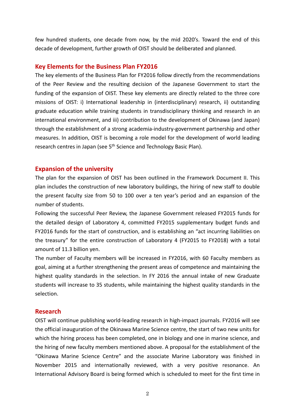few hundred students, one decade from now, by the mid 2020's. Toward the end of this decade of development, further growth of OIST should be deliberated and planned.

#### **Key Elements for the Business Plan FY2016**

The key elements of the Business Plan for FY2016 follow directly from the recommendations of the Peer Review and the resulting decision of the Japanese Government to start the funding of the expansion of OIST. These key elements are directly related to the three core missions of OIST: i) International leadership in (interdisciplinary) research, ii) outstanding graduate education while training students in transdisciplinary thinking and research in an international environment, and iii) contribution to the development of Okinawa (and Japan) through the establishment of a strong academia‐industry‐government partnership and other measures. In addition, OIST is becoming a role model for the development of world leading research centres in Japan (see 5<sup>th</sup> Science and Technology Basic Plan).

#### **Expansion of the university**

The plan for the expansion of OIST has been outlined in the Framework Document II. This plan includes the construction of new laboratory buildings, the hiring of new staff to double the present faculty size from 50 to 100 over a ten year's period and an expansion of the number of students.

Following the successful Peer Review, the Japanese Government released FY2015 funds for the detailed design of Laboratory 4, committed FY2015 supplementary budget funds and FY2016 funds for the start of construction, and is establishing an "act incurring liabilities on the treasury" for the entire construction of Laboratory 4 (FY2015 to FY2018) with a total amount of 11.3 billion yen.

The number of Faculty members will be increased in FY2016, with 60 Faculty members as goal, aiming at a further strengthening the present areas of competence and maintaining the highest quality standards in the selection. In FY 2016 the annual intake of new Graduate students will increase to 35 students, while maintaining the highest quality standards in the selection.

#### **Research**

OIST will continue publishing world‐leading research in high‐impact journals. FY2016 will see the official inauguration of the Okinawa Marine Science centre, the start of two new units for which the hiring process has been completed, one in biology and one in marine science, and the hiring of new faculty members mentioned above. A proposal for the establishment of the "Okinawa Marine Science Centre" and the associate Marine Laboratory was finished in November 2015 and internationally reviewed, with a very positive resonance. An International Advisory Board is being formed which is scheduled to meet for the first time in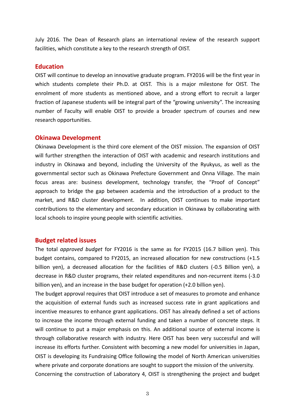July 2016. The Dean of Research plans an international review of the research support facilities, which constitute a key to the research strength of OIST.

#### **Education**

OIST will continue to develop an innovative graduate program. FY2016 will be the first year in which students complete their Ph.D. at OIST. This is a major milestone for OIST. The enrolment of more students as mentioned above, and a strong effort to recruit a larger fraction of Japanese students will be integral part of the "growing university". The increasing number of Faculty will enable OIST to provide a broader spectrum of courses and new research opportunities.

#### **Okinawa Development**

Okinawa Development is the third core element of the OIST mission. The expansion of OIST will further strengthen the interaction of OIST with academic and research institutions and industry in Okinawa and beyond, including the University of the Ryukyus, as well as the governmental sector such as Okinawa Prefecture Government and Onna Village. The main focus areas are: business development, technology transfer, the "Proof of Concept" approach to bridge the gap between academia and the introduction of a product to the market, and R&D cluster development. In addition, OIST continues to make important contributions to the elementary and secondary education in Okinawa by collaborating with local schools to inspire young people with scientific activities.

#### **Budget related issues**

The total *approved budget* for FY2016 is the same as for FY2015 (16.7 billion yen). This budget contains, compared to FY2015, an increased allocation for new constructions (+1.5 billion yen), a decreased allocation for the facilities of R&D clusters (-0.5 Billion yen), a decrease in R&D cluster programs, their related expenditures and non‐recurrent items (‐3.0 billion yen), and an increase in the base budget for operation (+2.0 billion yen).

The budget approval requires that OIST introduce a set of measures to promote and enhance the acquisition of external funds such as increased success rate in grant applications and incentive measures to enhance grant applications. OIST has already defined a set of actions to increase the income through external funding and taken a number of concrete steps. It will continue to put a major emphasis on this. An additional source of external income is through collaborative research with industry. Here OIST has been very successful and will increase its efforts further. Consistent with becoming a new model for universities in Japan, OIST is developing its Fundraising Office following the model of North American universities where private and corporate donations are sought to support the mission of the university. Concerning the construction of Laboratory 4, OIST is strengthening the project and budget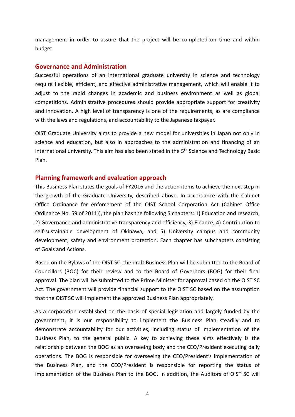management in order to assure that the project will be completed on time and within budget.

#### **Governance and Administration**

Successful operations of an international graduate university in science and technology require flexible, efficient, and effective administrative management, which will enable it to adjust to the rapid changes in academic and business environment as well as global competitions. Administrative procedures should provide appropriate support for creativity and innovation. A high level of transparency is one of the requirements, as are compliance with the laws and regulations, and accountability to the Japanese taxpayer.

OIST Graduate University aims to provide a new model for universities in Japan not only in science and education, but also in approaches to the administration and financing of an international university. This aim has also been stated in the 5<sup>th</sup> Science and Technology Basic Plan.

#### **Planning framework and evaluation approach**

This Business Plan states the goals of FY2016 and the action items to achieve the next step in the growth of the Graduate University, described above. In accordance with the Cabinet Office Ordinance for enforcement of the OIST School Corporation Act (Cabinet Office Ordinance No. 59 of 2011)), the plan has the following 5 chapters: 1) Education and research, 2) Governance and administrative transparency and efficiency, 3) Finance, 4) Contribution to self-sustainable development of Okinawa, and 5) University campus and community development; safety and environment protection. Each chapter has subchapters consisting of Goals and Actions.

Based on the Bylaws of the OIST SC, the draft Business Plan will be submitted to the Board of Councillors (BOC) for their review and to the Board of Governors (BOG) for their final approval. The plan will be submitted to the Prime Minister for approval based on the OIST SC Act. The government will provide financial support to the OIST SC based on the assumption that the OIST SC will implement the approved Business Plan appropriately.

As a corporation established on the basis of special legislation and largely funded by the government, it is our responsibility to implement the Business Plan steadily and to demonstrate accountability for our activities, including status of implementation of the Business Plan, to the general public. A key to achieving these aims effectively is the relationship between the BOG as an overseeing body and the CEO/President executing daily operations. The BOG is responsible for overseeing the CEO/President's implementation of the Business Plan, and the CEO/President is responsible for reporting the status of implementation of the Business Plan to the BOG. In addition, the Auditors of OIST SC will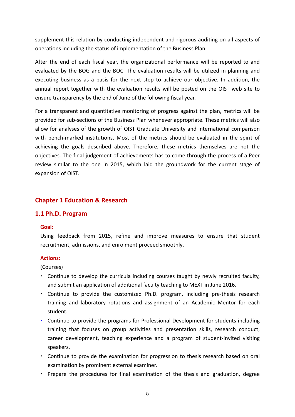supplement this relation by conducting independent and rigorous auditing on all aspects of operations including the status of implementation of the Business Plan.

After the end of each fiscal year, the organizational performance will be reported to and evaluated by the BOG and the BOC. The evaluation results will be utilized in planning and executing business as a basis for the next step to achieve our objective. In addition, the annual report together with the evaluation results will be posted on the OIST web site to ensure transparency by the end of June of the following fiscal year.

For a transparent and quantitative monitoring of progress against the plan, metrics will be provided for sub‐sections of the Business Plan whenever appropriate. These metrics will also allow for analyses of the growth of OIST Graduate University and international comparison with bench-marked institutions. Most of the metrics should be evaluated in the spirit of achieving the goals described above. Therefore, these metrics themselves are not the objectives. The final judgement of achievements has to come through the process of a Peer review similar to the one in 2015, which laid the groundwork for the current stage of expansion of OIST.

# **Chapter 1 Education & Research**

#### **1.1 Ph.D. Program**

#### **Goal:**

Using feedback from 2015, refine and improve measures to ensure that student recruitment, admissions, and enrolment proceed smoothly.

#### **Actions:**

(Courses)

- ・ Continue to develop the curricula including courses taught by newly recruited faculty, and submit an application of additional faculty teaching to MEXT in June 2016.
- ・ Continue to provide the customized Ph.D. program, including pre‐thesis research training and laboratory rotations and assignment of an Academic Mentor for each student.
- Continue to provide the programs for Professional Development for students including training that focuses on group activities and presentation skills, research conduct, career development, teaching experience and a program of student‐invited visiting speakers.
- ・ Continue to provide the examination for progression to thesis research based on oral examination by prominent external examiner.
- ・ Prepare the procedures for final examination of the thesis and graduation, degree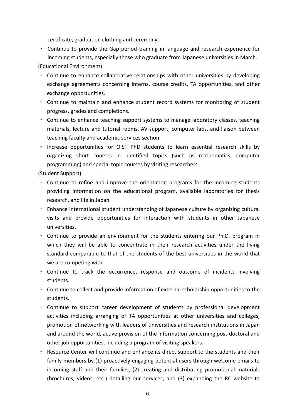certificate, graduation clothing and ceremony.

・ Continue to provide the Gap period training in language and research experience for incoming students, especially those who graduate from Japanese universities in March.

(Educational Environment)

- Continue to enhance collaborative relationships with other universities by developing exchange agreements concerning interns, course credits, TA opportunities, and other exchange opportunities.
- ・ Continue to maintain and enhance student record systems for monitoring of student progress, grades and completions.
- ・ Continue to enhance teaching support systems to manage laboratory classes, teaching materials, lecture and tutorial rooms, AV support, computer labs, and liaison between teaching faculty and academic services section.
- ・ Increase opportunities for OIST PhD students to learn essential research skills by organizing short courses in identified topics (such as mathematics, computer programming) and special topic courses by visiting researchers.

(Student Support)

- ・ Continue to refine and improve the orientation programs for the incoming students providing information on the educational program, available laboratories for thesis research, and life in Japan.
- ・ Enhance international student understanding of Japanese culture by organizing cultural visits and provide opportunities for interaction with students in other Japanese universities.
- ・ Continue to provide an environment for the students entering our Ph.D. program in which they will be able to concentrate in their research activities under the living standard comparable to that of the students of the best universities in the world that we are competing with.
- ・ Continue to track the occurrence, response and outcome of incidents involving students.
- ・ Continue to collect and provide information of external scholarship opportunities to the students.
- ・ Continue to support career development of students by professional development activities including arranging of TA opportunities at other universities and colleges, promotion of networking with leaders of universities and research institutions in Japan and around the world, active provision of the information concerning post‐doctoral and other job opportunities, including a program of visiting speakers.
- ・ Resource Center will continue and enhance its direct support to the students and their family members by (1) proactively engaging potential users through welcome emails to incoming staff and their families, (2) creating and distributing promotional materials (brochures, videos, etc.) detailing our services, and (3) expanding the RC website to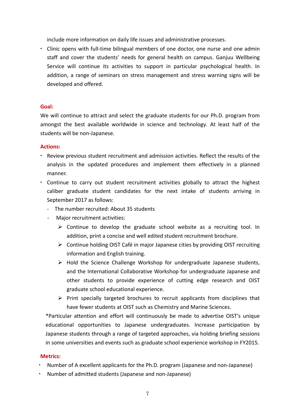include more information on daily life issues and administrative processes.

• Clinic opens with full-time bilingual members of one doctor, one nurse and one admin staff and cover the students' needs for general health on campus. Ganjuu Wellbeing Service will continue its activities to support in particular psychological health. In addition, a range of seminars on stress management and stress warning signs will be developed and offered.

#### **Goal:**

We will continue to attract and select the graduate students for our Ph.D. program from amongst the best available worldwide in science and technology. At least half of the students will be non‐Japanese.

#### **Actions:**

- ・ Review previous student recruitment and admission activities. Reflect the results of the analysis in the updated procedures and implement them effectively in a planned manner.
- ・ Continue to carry out student recruitment activities globally to attract the highest caliber graduate student candidates for the next intake of students arriving in September 2017 as follows:
	- ‐ The number recruited: About 35 students
	- Major recruitment activities:
		- $\triangleright$  Continue to develop the graduate school website as a recruiting tool. In addition, print a concise and well edited student recruitment brochure.
		- $\triangleright$  Continue holding OIST Café in major Japanese cities by providing OIST recruiting information and English training.
		- $\triangleright$  Hold the Science Challenge Workshop for undergraduate Japanese students, and the International Collaborative Workshop for undergraduate Japanese and other students to provide experience of cutting edge research and OIST graduate school educational experience.
		- $\triangleright$  Print specially targeted brochures to recruit applicants from disciplines that have fewer students at OIST such as Chemistry and Marine Sciences.

\*Particular attention and effort will continuously be made to advertise OIST's unique educational opportunities to Japanese undergraduates. Increase participation by Japanese students through a range of targeted approaches, via holding briefing sessions in some universities and events such as graduate school experience workshop in FY2015.

#### **Metrics:**

- Number of A excellent applicants for the Ph.D. program (Japanese and non-Japanese)
- Number of admitted students (Japanese and non-Japanese)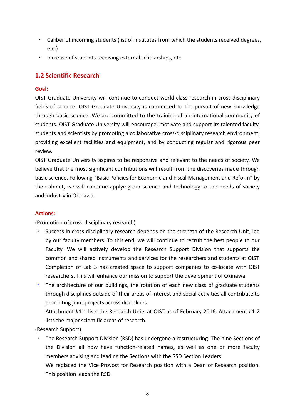- Caliber of incoming students (list of institutes from which the students received degrees, etc.)
- Increase of students receiving external scholarships, etc.

# **1.2 Scientific Research**

#### **Goal:**

OIST Graduate University will continue to conduct world‐class research in cross‐disciplinary fields of science. OIST Graduate University is committed to the pursuit of new knowledge through basic science. We are committed to the training of an international community of students. OIST Graduate University will encourage, motivate and support its talented faculty, students and scientists by promoting a collaborative cross-disciplinary research environment, providing excellent facilities and equipment, and by conducting regular and rigorous peer review.

OIST Graduate University aspires to be responsive and relevant to the needs of society. We believe that the most significant contributions will result from the discoveries made through basic science. Following "Basic Policies for Economic and Fiscal Management and Reform" by the Cabinet, we will continue applying our science and technology to the needs of society and industry in Okinawa.

#### **Actions:**

(Promotion of cross‐disciplinary research)

- Success in cross-disciplinary research depends on the strength of the Research Unit, led by our faculty members. To this end, we will continue to recruit the best people to our Faculty. We will actively develop the Research Support Division that supports the common and shared instruments and services for the researchers and students at OIST. Completion of Lab 3 has created space to support companies to co‐locate with OIST researchers. This will enhance our mission to support the development of Okinawa.
- ・ The architecture of our buildings, the rotation of each new class of graduate students through disciplines outside of their areas of interest and social activities all contribute to promoting joint projects across disciplines.

Attachment #1‐1 lists the Research Units at OIST as of February 2016. Attachment #1‐2 lists the major scientific areas of research.

(Research Support)

- The Research Support Division (RSD) has undergone a restructuring. The nine Sections of the Division all now have function‐related names, as well as one or more faculty members advising and leading the Sections with the RSD Section Leaders.
	- We replaced the Vice Provost for Research position with a Dean of Research position. This position leads the RSD.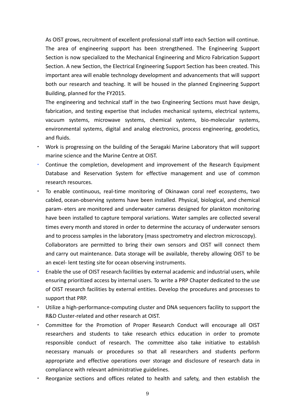As OIST grows, recruitment of excellent professional staff into each Section will continue. The area of engineering support has been strengthened. The Engineering Support Section is now specialized to the Mechanical Engineering and Micro Fabrication Support Section. A new Section, the Electrical Engineering Support Section has been created. This important area will enable technology development and advancements that will support both our research and teaching. It will be housed in the planned Engineering Support Building, planned for the FY2015.

The engineering and technical staff in the two Engineering Sections must have design, fabrication, and testing expertise that includes mechanical systems, electrical systems, vacuum systems, microwave systems, chemical systems, bio‐molecular systems, environmental systems, digital and analog electronics, process engineering, geodetics, and fluids.

- Work is progressing on the building of the Seragaki Marine Laboratory that will support marine science and the Marine Centre at OIST.
- ・ Continue the completion, development and improvement of the Research Equipment Database and Reservation System for effective management and use of common research resources.
- To enable continuous, real-time monitoring of Okinawan coral reef ecosystems, two cabled, ocean‐observing systems have been installed. Physical, biological, and chemical param‐ eters are monitored and underwater cameras designed for plankton monitoring have been installed to capture temporal variations. Water samples are collected several times every month and stored in order to determine the accuracy of underwater sensors and to process samples in the laboratory (mass spectrometry and electron microscopy). Collaborators are permitted to bring their own sensors and OIST will connect them and carry out maintenance. Data storage will be available, thereby allowing OIST to be an excel-lent testing site for ocean observing instruments.
- Enable the use of OIST research facilities by external academic and industrial users, while ensuring prioritized access by internal users. To write a PRP Chapter dedicated to the use of OIST research facilities by external entities. Develop the procedures and processes to support that PRP.
- ・ Utilize a high‐performance‐computing cluster and DNA sequencers facility to support the R&D Cluster‐related and other research at OIST.
- ・ Committee for the Promotion of Proper Research Conduct will encourage all OIST researchers and students to take research ethics education in order to promote responsible conduct of research. The committee also take initiative to establish necessary manuals or procedures so that all researchers and students perform appropriate and effective operations over storage and disclosure of research data in compliance with relevant administrative guidelines.
- Reorganize sections and offices related to health and safety, and then establish the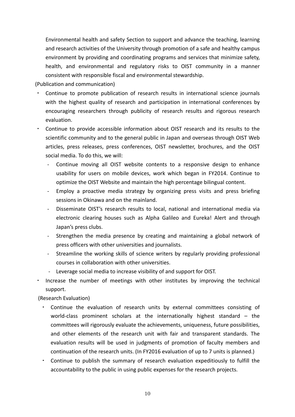Environmental health and safety Section to support and advance the teaching, learning and research activities of the University through promotion of a safe and healthy campus environment by providing and coordinating programs and services that minimize safety, health, and environmental and regulatory risks to OIST community in a manner consistent with responsible fiscal and environmental stewardship.

(Publication and communication)

- ・ Continue to promote publication of research results in international science journals with the highest quality of research and participation in international conferences by encouraging researchers through publicity of research results and rigorous research evaluation.
- ・ Continue to provide accessible information about OIST research and its results to the scientific community and to the general public in Japan and overseas through OIST Web articles, press releases, press conferences, OIST newsletter, brochures, and the OIST social media. To do this, we will:
	- ‐ Continue moving all OIST website contents to a responsive design to enhance usability for users on mobile devices, work which began in FY2014. Continue to optimize the OIST Website and maintain the high percentage bilingual content.
	- ‐ Employ a proactive media strategy by organizing press visits and press briefing sessions in Okinawa and on the mainland.
	- ‐ Disseminate OIST's research results to local, national and international media via electronic clearing houses such as Alpha Galileo and Eureka! Alert and through Japan's press clubs.
	- ‐ Strengthen the media presence by creating and maintaining a global network of press officers with other universities and journalists.
	- Streamline the working skills of science writers by regularly providing professional courses in collaboration with other universities.
	- Leverage social media to increase visibility of and support for OIST.
- Increase the number of meetings with other institutes by improving the technical support.

(Research Evaluation)

- Continue the evaluation of research units by external committees consisting of world-class prominent scholars at the internationally highest standard – the committees will rigorously evaluate the achievements, uniqueness, future possibilities, and other elements of the research unit with fair and transparent standards. The evaluation results will be used in judgments of promotion of faculty members and continuation of the research units. (In FY2016 evaluation of up to 7 units is planned.)
- Continue to publish the summary of research evaluation expeditiously to fulfill the accountability to the public in using public expenses for the research projects.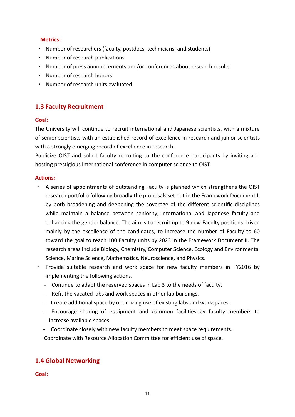#### **Metrics:**

- ・ Number of researchers (faculty, postdocs, technicians, and students)
- ・ Number of research publications
- ・ Number of press announcements and/or conferences about research results
- ・ Number of research honors
- ・ Number of research units evaluated

# **1.3 Faculty Recruitment**

#### **Goal:**

The University will continue to recruit international and Japanese scientists, with a mixture of senior scientists with an established record of excellence in research and junior scientists with a strongly emerging record of excellence in research.

Publicize OIST and solicit faculty recruiting to the conference participants by inviting and hosting prestigious international conference in computer science to OIST.

#### **Actions:**

- ・ A series of appointments of outstanding Faculty is planned which strengthens the OIST research portfolio following broadly the proposals set out in the Framework Document II by both broadening and deepening the coverage of the different scientific disciplines while maintain a balance between seniority, international and Japanese faculty and enhancing the gender balance. The aim is to recruit up to 9 new Faculty positions driven mainly by the excellence of the candidates, to increase the number of Faculty to 60 toward the goal to reach 100 Faculty units by 2023 in the Framework Document II. The research areas include Biology, Chemistry, Computer Science, Ecology and Environmental Science, Marine Science, Mathematics, Neuroscience, and Physics.
- ・ Provide suitable research and work space for new faculty members in FY2016 by implementing the following actions.
	- Continue to adapt the reserved spaces in Lab 3 to the needs of faculty.
	- Refit the vacated labs and work spaces in other lab buildings.
	- ‐ Create additional space by optimizing use of existing labs and workspaces.
	- ‐ Encourage sharing of equipment and common facilities by faculty members to increase available spaces.
	- ‐ Coordinate closely with new faculty members to meet space requirements.

Coordinate with Resource Allocation Committee for efficient use of space.

#### **1.4 Global Networking**

**Goal:**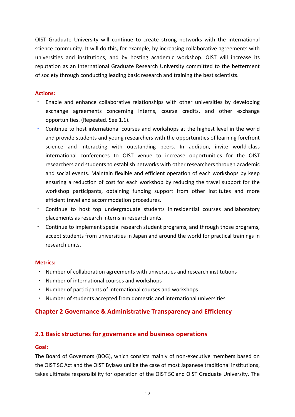OIST Graduate University will continue to create strong networks with the international science community. It will do this, for example, by increasing collaborative agreements with universities and institutions, and by hosting academic workshop. OIST will increase its reputation as an International Graduate Research University committed to the betterment of society through conducting leading basic research and training the best scientists. 

#### **Actions:**

- Enable and enhance collaborative relationships with other universities by developing exchange agreements concerning interns, course credits, and other exchange opportunities. (Repeated. See 1.1).
- Continue to host international courses and workshops at the highest level in the world and provide students and young researchers with the opportunities of learning forefront science and interacting with outstanding peers. In addition, invite world-class international conferences to OIST venue to increase opportunities for the OIST researchers and students to establish networks with other researchers through academic and social events. Maintain flexible and efficient operation of each workshops by keep ensuring a reduction of cost for each workshop by reducing the travel support for the workshop participants, obtaining funding support from other institutes and more efficient travel and accommodation procedures.
- ・ Continue to host top undergraduate students in residential courses and laboratory placements as research interns in research units.
- ・ Continue to implement special research student programs, and through those programs, accept students from universities in Japan and around the world for practical trainings in research units**.**

#### **Metrics:**

- ・ Number of collaboration agreements with universities and research institutions
- ・ Number of international courses and workshops
- ・ Number of participants of international courses and workshops
- ・ Number of students accepted from domestic and international universities

# **Chapter 2 Governance & Administrative Transparency and Efficiency**

# **2.1 Basic structures for governance and business operations**

#### **Goal:**

The Board of Governors (BOG), which consists mainly of non‐executive members based on the OIST SC Act and the OIST Bylaws unlike the case of most Japanese traditional institutions, takes ultimate responsibility for operation of the OIST SC and OIST Graduate University. The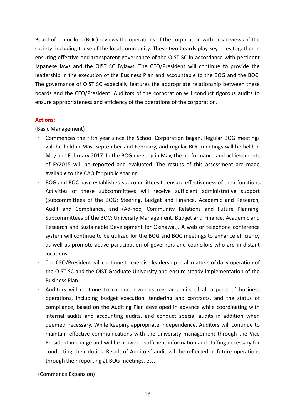Board of Councilors (BOC) reviews the operations of the corporation with broad views of the society, including those of the local community. These two boards play key roles together in ensuring effective and transparent governance of the OIST SC in accordance with pertinent Japanese laws and the OIST SC Bylaws. The CEO/President will continue to provide the leadership in the execution of the Business Plan and accountable to the BOG and the BOC. The governance of OIST SC especially features the appropriate relationship between these boards and the CEO/President. Auditors of the corporation will conduct rigorous audits to ensure appropriateness and efficiency of the operations of the corporation.

#### **Actions:**

(Basic Management)

- Commences the fifth year since the School Corporation began. Regular BOG meetings will be held in May, September and February, and regular BOC meetings will be held in May and February 2017. In the BOG meeting in May, the performance and achievements of FY2015 will be reported and evaluated. The results of this assessment are made available to the CAO for public sharing.
- ・ BOG and BOC have established subcommittees to ensure effectiveness of their functions. Activities of these subcommittees will receive sufficient administrative support (Subcommittees of the BOG: Steering, Budget and Finance, Academic and Research, Audit and Compliance, and (Ad‐hoc) Community Relations and Future Planning. Subcommittees of the BOC: University Management, Budget and Finance, Academic and Research and Sustainable Development for Okinawa.). A web or telephone conference system will continue to be utilized for the BOG and BOC meetings to enhance efficiency as well as promote active participation of governors and councilors who are in distant locations.
- The CEO/President will continue to exercise leadership in all matters of daily operation of the OIST SC and the OIST Graduate University and ensure steady implementation of the Business Plan.
- Auditors will continue to conduct rigorous regular audits of all aspects of business operations, including budget execution, tendering and contracts, and the status of compliance, based on the Auditing Plan developed in advance while coordinating with internal audits and accounting audits, and conduct special audits in addition when deemed necessary. While keeping appropriate independence, Auditors will continue to maintain effective communications with the university management through the Vice President in charge and will be provided sufficient information and staffing necessary for conducting their duties. Result of Auditors' audit will be reflected in future operations through their reporting at BOG meetings, etc.

(Commence Expansion)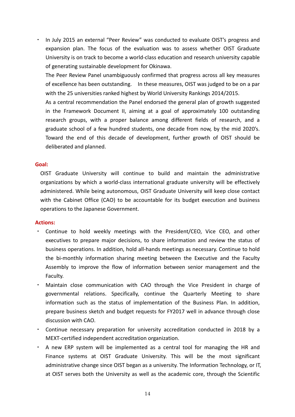In July 2015 an external "Peer Review" was conducted to evaluate OIST's progress and expansion plan. The focus of the evaluation was to assess whether OIST Graduate University is on track to become a world‐class education and research university capable of generating sustainable development for Okinawa.

The Peer Review Panel unambiguously confirmed that progress across all key measures of excellence has been outstanding. In these measures, OIST was judged to be on a par with the 25 universities ranked highest by World University Rankings 2014/2015.

As a central recommendation the Panel endorsed the general plan of growth suggested in the Framework Document II, aiming at a goal of approximately 100 outstanding research groups, with a proper balance among different fields of research, and a graduate school of a few hundred students, one decade from now, by the mid 2020's. Toward the end of this decade of development, further growth of OIST should be deliberated and planned.

#### **Goal:**

OIST Graduate University will continue to build and maintain the administrative organizations by which a world‐class international graduate university will be effectively administered. While being autonomous, OIST Graduate University will keep close contact with the Cabinet Office (CAO) to be accountable for its budget execution and business operations to the Japanese Government.

#### **Actions:**

- ・ Continue to hold weekly meetings with the President/CEO, Vice CEO, and other executives to prepare major decisions, to share information and review the status of business operations. In addition, hold all‐hands meetings as necessary. Continue to hold the bi-monthly information sharing meeting between the Executive and the Faculty Assembly to improve the flow of information between senior management and the Faculty.
- ・ Maintain close communication with CAO through the Vice President in charge of governmental relations. Specifically, continue the Quarterly Meeting to share information such as the status of implementation of the Business Plan. In addition, prepare business sketch and budget requests for FY2017 well in advance through close discussion with CAO.
- ・ Continue necessary preparation for university accreditation conducted in 2018 by a MEXT‐certified independent accreditation organization.
- ・ A new ERP system will be implemented as a central tool for managing the HR and Finance systems at OIST Graduate University. This will be the most significant administrative change since OIST began as a university. The Information Technology, or IT, at OIST serves both the University as well as the academic core, through the Scientific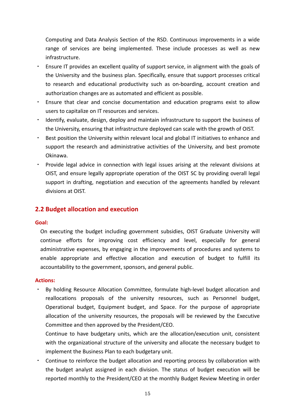Computing and Data Analysis Section of the RSD. Continuous improvements in a wide range of services are being implemented. These include processes as well as new infrastructure.

- Ensure IT provides an excellent quality of support service, in alignment with the goals of the University and the business plan. Specifically, ensure that support processes critical to research and educational productivity such as on‐boarding, account creation and authorization changes are as automated and efficient as possible.
- ・ Ensure that clear and concise documentation and education programs exist to allow users to capitalize on IT resources and services.
- ・ Identify, evaluate, design, deploy and maintain infrastructure to support the business of the University, ensuring that infrastructure deployed can scale with the growth of OIST.
- ・ Best position the University within relevant local and global IT initiatives to enhance and support the research and administrative activities of the University, and best promote Okinawa.
- ・ Provide legal advice in connection with legal issues arising at the relevant divisions at OIST, and ensure legally appropriate operation of the OIST SC by providing overall legal support in drafting, negotiation and execution of the agreements handled by relevant divisions at OIST.

# **2.2 Budget allocation and execution**

#### **Goal:**

On executing the budget including government subsidies, OIST Graduate University will continue efforts for improving cost efficiency and level, especially for general administrative expenses, by engaging in the improvements of procedures and systems to enable appropriate and effective allocation and execution of budget to fulfill its accountability to the government, sponsors, and general public.

#### **Actions:**

By holding Resource Allocation Committee, formulate high-level budget allocation and reallocations proposals of the university resources, such as Personnel budget, Operational budget, Equipment budget, and Space. For the purpose of appropriate allocation of the university resources, the proposals will be reviewed by the Executive Committee and then approved by the President/CEO.

Continue to have budgetary units, which are the allocation/execution unit, consistent with the organizational structure of the university and allocate the necessary budget to implement the Business Plan to each budgetary unit.

Continue to reinforce the budget allocation and reporting process by collaboration with the budget analyst assigned in each division. The status of budget execution will be reported monthly to the President/CEO at the monthly Budget Review Meeting in order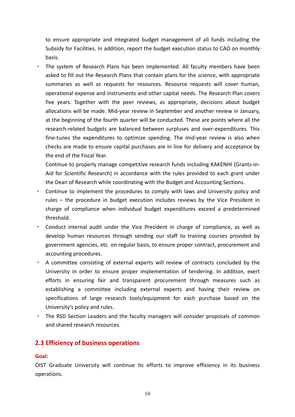to ensure appropriate and integrated budget management of all funds including the Subsidy for Facilities. In addition, report the budget execution status to CAO on monthly basis.

The system of Research Plans has been implemented. All faculty members have been asked to fill out the Research Plans that contain plans for the science, with appropriate summaries as well as requests for resources. Resource requests will cover human, operational expense and instruments and other capital needs. The Research Plan covers five years. Together with the peer reviews, as appropriate, decisions about budget allocations will be made. Mid‐year review in September and another review in January, at the beginning of the fourth quarter will be conducted. These are points where all the research-related budgets are balanced between surpluses and over-expenditures. This fine-tunes the expenditures to optimize spending. The mid-year review is also when checks are made to ensure capital purchases are in line for delivery and acceptance by the end of the Fiscal Year.

Continue to properly manage competitive research funds including KAKENHI (Grants‐in‐ Aid for Scientific Research) in accordance with the rules provided to each grant under the Dean of Research while coordinating with the Budget and Accounting Sections.

- ・ Continue to implement the procedures to comply with laws and University policy and rules – the procedure in budget execution includes reviews by the Vice President in charge of compliance when individual budget expenditures exceed a predetermined threshold.
- ・ Conduct internal audit under the Vice President in charge of compliance, as well as develop human resources through sending our staff to training courses provided by government agencies, etc. on regular basis, to ensure proper contract, procurement and accounting procedures.
- ・ A committee consisting of external experts will review of contracts concluded by the University in order to ensure proper implementation of tendering. In addition, exert efforts in ensuring fair and transparent procurement through measures such as establishing a committee including external experts and having their review on specifications of large research tools/equipment for each purchase based on the University's policy and rules.
- ・ The RSD Section Leaders and the faculty managers will consider proposals of common and shared research resources.

# **2.3 Efficiency of business operations**

#### **Goal:**

OIST Graduate University will continue its efforts to improve efficiency in its business operations.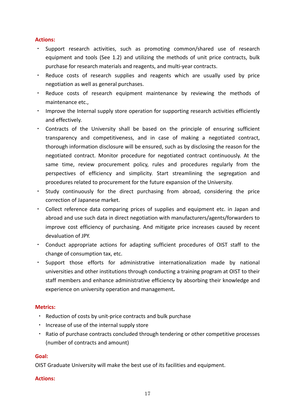#### **Actions:**

- ・ Support research activities, such as promoting common/shared use of research equipment and tools (See 1.2) and utilizing the methods of unit price contracts, bulk purchase for research materials and reagents, and multi‐year contracts.
- ・ Reduce costs of research supplies and reagents which are usually used by price negotiation as well as general purchases.
- ・ Reduce costs of research equipment maintenance by reviewing the methods of maintenance etc.,
- ・ Improve the Internal supply store operation for supporting research activities efficiently and effectively.
- ・ Contracts of the University shall be based on the principle of ensuring sufficient transparency and competitiveness, and in case of making a negotiated contract, thorough information disclosure will be ensured, such as by disclosing the reason for the negotiated contract. Monitor procedure for negotiated contract continuously. At the same time, review procurement policy, rules and procedures regularly from the perspectives of efficiency and simplicity. Start streamlining the segregation and procedures related to procurement for the future expansion of the University.
- ・ Study continuously for the direct purchasing from abroad, considering the price correction of Japanese market.
- ・ Collect reference data comparing prices of supplies and equipment etc. in Japan and abroad and use such data in direct negotiation with manufacturers/agents/forwarders to improve cost efficiency of purchasing. And mitigate price increases caused by recent devaluation of JPY.
- ・ Conduct appropriate actions for adapting sufficient procedures of OIST staff to the change of consumption tax, etc.
- ・ Support those efforts for administrative internationalization made by national universities and other institutions through conducting a training program at OIST to their staff members and enhance administrative efficiency by absorbing their knowledge and experience on university operation and management**.**

#### **Metrics:**

- ・ Reduction of costs by unit‐price contracts and bulk purchase
- ・ Increase of use of the internal supply store
- ・ Ratio of purchase contracts concluded through tendering or other competitive processes (number of contracts and amount)

#### **Goal:**

OIST Graduate University will make the best use of its facilities and equipment.

#### **Actions:**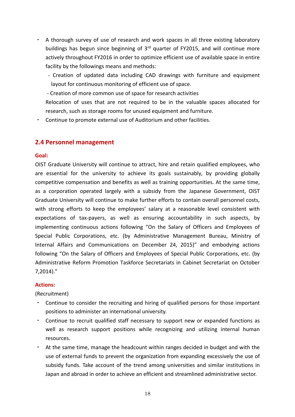- A thorough survey of use of research and work spaces in all three existing laboratory buildings has begun since beginning of 3<sup>rd</sup> quarter of FY2015, and will continue more actively throughout FY2016 in order to optimize efficient use of available space in entire facility by the followings means and methods:
	- ‐ Creation of updated data including CAD drawings with furniture and equipment layout for continuous monitoring of efficient use of space.

‐ Creation of more common use of space for research activities

Relocation of uses that are not required to be in the valuable spaces allocated for research, such as storage rooms for unused equipment and furniture.

・ Continue to promote external use of Auditorium and other facilities.

## **2.4 Personnel management**

#### **Goal:**

OIST Graduate University will continue to attract, hire and retain qualified employees, who are essential for the university to achieve its goals sustainably, by providing globally competitive compensation and benefits as well as training opportunities. At the same time, as a corporation operated largely with a subsidy from the Japanese Government, OIST Graduate University will continue to make further efforts to contain overall personnel costs, with strong efforts to keep the employees' salary at a reasonable level consistent with expectations of tax‐payers, as well as ensuring accountability in such aspects, by implementing continuous actions following "On the Salary of Officers and Employees of Special Public Corporations, etc. (by Administrative Management Bureau, Ministry of Internal Affairs and Communications on December 24, 2015)" and embodying actions following "On the Salary of Officers and Employees of Special Public Corporations, etc. (by Administrative Reform Promotion Taskforce Secretariats in Cabinet Secretariat on October 7,2014)."

#### **Actions:**

(Recruitment)

- Continue to consider the recruiting and hiring of qualified persons for those important positions to administer an international university.
- Continue to recruit qualified staff necessary to support new or expanded functions as well as research support positions while recognizing and utilizing internal human resources.
- ・ At the same time, manage the headcount within ranges decided in budget and with the use of external funds to prevent the organization from expanding excessively the use of subsidy funds. Take account of the trend among universities and similar institutions in Japan and abroad in order to achieve an efficient and streamlined administrative sector.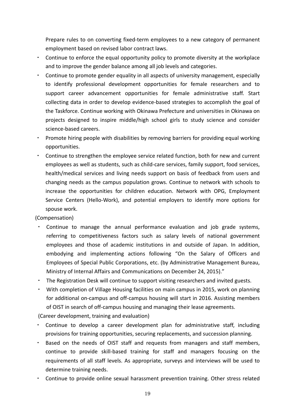Prepare rules to on converting fixed‐term employees to a new category of permanent employment based on revised labor contract laws.

- ・ Continue to enforce the equal opportunity policy to promote diversity at the workplace and to improve the gender balance among all job levels and categories.
- ・ Continue to promote gender equality in all aspects of university management, especially to identify professional development opportunities for female researchers and to support career advancement opportunities for female administrative staff. Start collecting data in order to develop evidence‐based strategies to accomplish the goal of the Taskforce. Continue working with Okinawa Prefecture and universities in Okinawa on projects designed to inspire middle/high school girls to study science and consider science‐based careers.
- ・ Promote hiring people with disabilities by removing barriers for providing equal working opportunities.
- ・ Continue to strengthen the employee service related function, both for new and current employees as well as students, such as child-care services, family support, food services, health/medical services and living needs support on basis of feedback from users and changing needs as the campus population grows. Continue to network with schools to increase the opportunities for children education. Network with OPG, Employment Service Centers (Hello-Work), and potential employers to identify more options for spouse work.

(Compensation)

- Continue to manage the annual performance evaluation and job grade systems, referring to competitiveness factors such as salary levels of national government employees and those of academic institutions in and outside of Japan. In addition, embodying and implementing actions following "On the Salary of Officers and Employees of Special Public Corporations, etc. (by Administrative Management Bureau, Ministry of Internal Affairs and Communications on December 24, 2015)."
- The Registration Desk will continue to support visiting researchers and invited guests.
- ・ With completion of Village Housing facilities on main campus in 2015, work on planning for additional on-campus and off-campus housing will start in 2016. Assisting members of OIST in search of off‐campus housing and managing their lease agreements.

(Career development, training and evaluation)

- Continue to develop a career development plan for administrative staff, including provisions for training opportunities, securing replacements, and succession planning.
- Based on the needs of OIST staff and requests from managers and staff members, continue to provide skill‐based training for staff and managers focusing on the requirements of all staff levels. As appropriate, surveys and interviews will be used to determine training needs.
- ・ Continue to provide online sexual harassment prevention training. Other stress related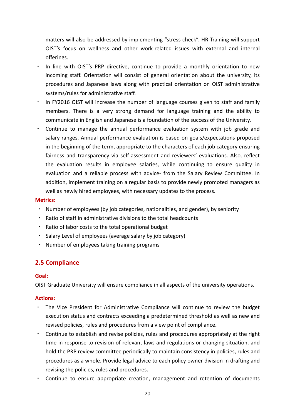matters will also be addressed by implementing "stress check". HR Training will support OIST's focus on wellness and other work‐related issues with external and internal offerings.

- In line with OIST's PRP directive, continue to provide a monthly orientation to new incoming staff. Orientation will consist of general orientation about the university, its procedures and Japanese laws along with practical orientation on OIST administrative systems/rules for administrative staff.
- In FY2016 OIST will increase the number of language courses given to staff and family members. There is a very strong demand for language training and the ability to communicate in English and Japanese is a foundation of the success of the University.
- Continue to manage the annual performance evaluation system with job grade and salary ranges. Annual performance evaluation is based on goals/expectations proposed in the beginning of the term, appropriate to the characters of each job category ensuring fairness and transparency via self-assessment and reviewers' evaluations. Also, reflect the evaluation results in employee salaries, while continuing to ensure quality in evaluation and a reliable process with advice‐ from the Salary Review Committee. In addition, implement training on a regular basis to provide newly promoted managers as well as newly hired employees, with necessary updates to the process.

#### **Metrics:**

- ・ Number of employees (by job categories, nationalities, and gender), by seniority
- ・ Ratio of staff in administrative divisions to the total headcounts
- ・ Ratio of labor costs to the total operational budget
- ・ Salary Level of employees (average salary by job category)
- ・ Number of employees taking training programs

# **2.5 Compliance**

#### **Goal:**

OIST Graduate University will ensure compliance in all aspects of the university operations.

#### **Actions:**

- ・ The Vice President for Administrative Compliance will continue to review the budget execution status and contracts exceeding a predetermined threshold as well as new and revised policies, rules and procedures from a view point of compliance**.**
- ・ Continue to establish and revise policies, rules and procedures appropriately at the right time in response to revision of relevant laws and regulations or changing situation, and hold the PRP review committee periodically to maintain consistency in policies, rules and procedures as a whole. Provide legal advice to each policy owner division in drafting and revising the policies, rules and procedures.
- ・ Continue to ensure appropriate creation, management and retention of documents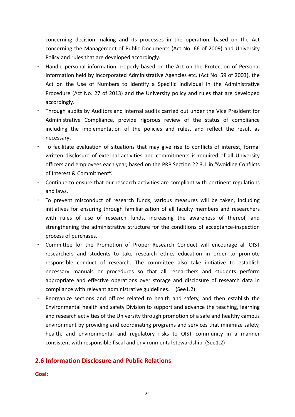concerning decision making and its processes in the operation, based on the Act concerning the Management of Public Documents (Act No. 66 of 2009) and University Policy and rules that are developed accordingly.

- Handle personal information properly based on the Act on the Protection of Personal Information held by Incorporated Administrative Agencies etc. (Act No. 59 of 2003), the Act on the Use of Numbers to Identify a Specific Individual in the Administrative Procedure (Act No. 27 of 2013) and the University policy and rules that are developed accordingly.
- ・ Through audits by Auditors and internal audits carried out under the Vice President for Administrative Compliance, provide rigorous review of the status of compliance including the implementation of the policies and rules, and reflect the result as necessary**.**
- ・ To facilitate evaluation of situations that may give rise to conflicts of interest, formal written disclosure of external activities and commitments is required of all University officers and employees each year, based on the PRP Section 22.3.1 in "Avoiding Conflicts of Interest & Commitment**".**
- ・ Continue to ensure that our research activities are compliant with pertinent regulations and laws.
- ・ To prevent misconduct of research funds, various measures will be taken, including initiatives for ensuring through familiarization of all faculty members and researchers with rules of use of research funds, increasing the awareness of thereof, and strengthening the administrative structure for the conditions of acceptance‐inspection process of purchases.
- ・ Committee for the Promotion of Proper Research Conduct will encourage all OIST researchers and students to take research ethics education in order to promote responsible conduct of research. The committee also take initiative to establish necessary manuals or procedures so that all researchers and students perform appropriate and effective operations over storage and disclosure of research data in compliance with relevant administrative guidelines. (See1.2)
- Reorganize sections and offices related to health and safety, and then establish the Environmental health and safety Division to support and advance the teaching, learning and research activities of the University through promotion of a safe and healthy campus environment by providing and coordinating programs and services that minimize safety, health, and environmental and regulatory risks to OIST community in a manner consistent with responsible fiscal and environmental stewardship. (See1.2)

# **2.6 Information Disclosure and Public Relations**

**Goal:**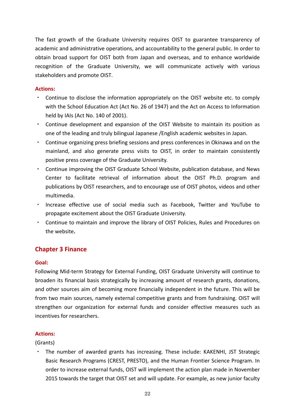The fast growth of the Graduate University requires OIST to guarantee transparency of academic and administrative operations, and accountability to the general public. In order to obtain broad support for OIST both from Japan and overseas, and to enhance worldwide recognition of the Graduate University, we will communicate actively with various stakeholders and promote OIST.

#### **Actions:**

- ・ Continue to disclose the information appropriately on the OIST website etc. to comply with the School Education Act (Act No. 26 of 1947) and the Act on Access to Information held by IAIs (Act No. 140 of 2001).
- ・ Continue development and expansion of the OIST Website to maintain its position as one of the leading and truly bilingual Japanese /English academic websites in Japan.
- ・ Continue organizing press briefing sessions and press conferences in Okinawa and on the mainland, and also generate press visits to OIST, in order to maintain consistently positive press coverage of the Graduate University.
- ・ Continue improving the OIST Graduate School Website, publication database, and News Center to facilitate retrieval of information about the OIST Ph.D. program and publications by OIST researchers, and to encourage use of OIST photos, videos and other multimedia.
- ・ Increase effective use of social media such as Facebook, Twitter and YouTube to propagate excitement about the OIST Graduate University.
- ・ Continue to maintain and improve the library of OIST Policies, Rules and Procedures on the website**.**

# **Chapter 3 Finance**

#### **Goal:**

Following Mid‐term Strategy for External Funding, OIST Graduate University will continue to broaden its financial basis strategically by increasing amount of research grants, donations, and other sources aim of becoming more financially independent in the future. This will be from two main sources, namely external competitive grants and from fundraising. OIST will strengthen our organization for external funds and consider effective measures such as incentives for researchers.

#### **Actions:**

(Grants)

・ The number of awarded grants has increasing. These include: KAKENHI, JST Strategic Basic Research Programs (CREST, PRESTO), and the Human Frontier Science Program. In order to increase external funds, OIST will implement the action plan made in November 2015 towards the target that OIST set and will update. For example, as new junior faculty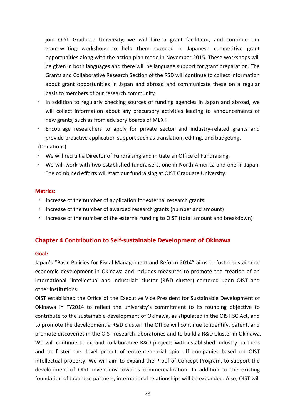join OIST Graduate University, we will hire a grant facilitator, and continue our grant‐writing workshops to help them succeed in Japanese competitive grant opportunities along with the action plan made in November 2015. These workshops will be given in both languages and there will be language support for grant preparation. The Grants and Collaborative Research Section of the RSD will continue to collect information about grant opportunities in Japan and abroad and communicate these on a regular basis to members of our research community.

- In addition to regularly checking sources of funding agencies in Japan and abroad, we will collect information about any precursory activities leading to announcements of new grants, such as from advisory boards of MEXT.
- ・ Encourage researchers to apply for private sector and industry‐related grants and provide proactive application support such as translation, editing, and budgeting.

(Donations)

- ・ We will recruit a Director of Fundraising and initiate an Office of Fundraising.
- ・ We will work with two established fundraisers, one in North America and one in Japan. The combined efforts will start our fundraising at OIST Graduate University.

#### **Metrics:**

- ・ Increase of the number of application for external research grants
- ・ Increase of the number of awarded research grants (number and amount)
- Increase of the number of the external funding to OIST (total amount and breakdown)

# **Chapter 4 Contribution to Self‐sustainable Development of Okinawa**

#### **Goal:**

Japan's "Basic Policies for Fiscal Management and Reform 2014" aims to foster sustainable economic development in Okinawa and includes measures to promote the creation of an international "intellectual and industrial" cluster (R&D cluster) centered upon OIST and other institutions.

OIST established the Office of the Executive Vice President for Sustainable Development of Okinawa in FY2014 to reflect the university's commitment to its founding objective to contribute to the sustainable development of Okinawa, as stipulated in the OIST SC Act, and to promote the development a R&D cluster. The Office will continue to identify, patent, and promote discoveries in the OIST research laboratories and to build a R&D Cluster in Okinawa. We will continue to expand collaborative R&D projects with established industry partners and to foster the development of entrepreneurial spin off companies based on OIST intellectual property. We will aim to expand the Proof‐of‐Concept Program, to support the development of OIST inventions towards commercialization. In addition to the existing foundation of Japanese partners, international relationships will be expanded. Also, OIST will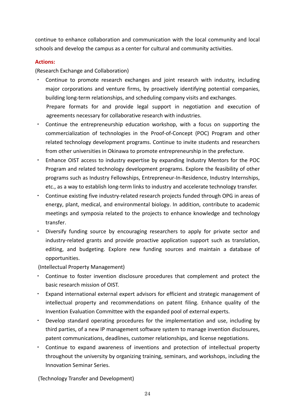continue to enhance collaboration and communication with the local community and local schools and develop the campus as a center for cultural and community activities.

### **Actions:**

(Research Exchange and Collaboration)

- Continue to promote research exchanges and joint research with industry, including major corporations and venture firms, by proactively identifying potential companies, building long‐term relationships, and scheduling company visits and exchanges. Prepare formats for and provide legal support in negotiation and execution of agreements necessary for collaborative research with industries.
- ・ Continue the entrepreneurship education workshop, with a focus on supporting the commercialization of technologies in the Proof‐of‐Concept (POC) Program and other related technology development programs. Continue to invite students and researchers from other universities in Okinawa to promote entrepreneurship in the prefecture.
- ・ Enhance OIST access to industry expertise by expanding Industry Mentors for the POC Program and related technology development programs. Explore the feasibility of other programs such as Industry Fellowships, Entrepreneur‐In‐Residence, Industry Internships, etc., as a way to establish long‐term links to industry and accelerate technology transfer.
- ・ Continue existing five industry‐related research projects funded through OPG in areas of energy, plant, medical, and environmental biology. In addition, contribute to academic meetings and symposia related to the projects to enhance knowledge and technology transfer.
- ・ Diversify funding source by encouraging researchers to apply for private sector and industry-related grants and provide proactive application support such as translation, editing, and budgeting. Explore new funding sources and maintain a database of opportunities.

(Intellectual Property Management)

- Continue to foster invention disclosure procedures that complement and protect the basic research mission of OIST.
- Expand international external expert advisors for efficient and strategic management of intellectual property and recommendations on patent filing. Enhance quality of the Invention Evaluation Committee with the expanded pool of external experts.
- Develop standard operating procedures for the implementation and use, including by third parties, of a new IP management software system to manage invention disclosures, patent communications, deadlines, customer relationships, and license negotiations.
- Continue to expand awareness of inventions and protection of intellectual property throughout the university by organizing training, seminars, and workshops, including the Innovation Seminar Series.

(Technology Transfer and Development)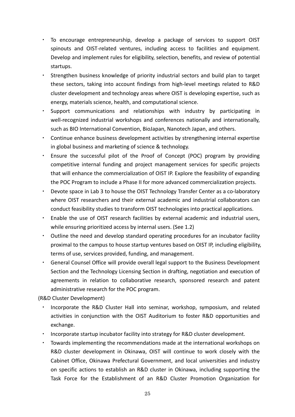- To encourage entrepreneurship, develop a package of services to support OIST spinouts and OIST-related ventures, including access to facilities and equipment. Develop and implement rules for eligibility, selection, benefits, and review of potential startups.
- Strengthen business knowledge of priority industrial sectors and build plan to target these sectors, taking into account findings from high‐level meetings related to R&D cluster development and technology areas where OIST is developing expertise, such as energy, materials science, health, and computational science.
- Support communications and relationships with industry by participating in well-recognized industrial workshops and conferences nationally and internationally, such as BIO International Convention, BioJapan, Nanotech Japan, and others.
- ・ Continue enhance business development activities by strengthening internal expertise in global business and marketing of science & technology.
- ・ Ensure the successful pilot of the Proof of Concept (POC) program by providing competitive internal funding and project management services for specific projects that will enhance the commercialization of OIST IP. Explore the feasibility of expanding the POC Program to include a Phase II for more advanced commercialization projects.
- Devote space in Lab 3 to house the OIST Technology Transfer Center as a co-laboratory where OIST researchers and their external academic and industrial collaborators can conduct feasibility studies to transform OIST technologies into practical applications.
- Enable the use of OIST research facilities by external academic and industrial users, while ensuring prioritized access by internal users. (See 1.2)
- Outline the need and develop standard operating procedures for an incubator facility proximal to the campus to house startup ventures based on OIST IP, including eligibility, terms of use, services provided, funding, and management.
- General Counsel Office will provide overall legal support to the Business Development Section and the Technology Licensing Section in drafting, negotiation and execution of agreements in relation to collaborative research, sponsored research and patent administrative research for the POC program.

(R&D Cluster Development)

- Incorporate the R&D Cluster Hall into seminar, workshop, symposium, and related activities in conjunction with the OIST Auditorium to foster R&D opportunities and exchange.
- ・ Incorporate startup incubator facility into strategy for R&D cluster development.
- Towards implementing the recommendations made at the international workshops on R&D cluster development in Okinawa, OIST will continue to work closely with the Cabinet Office, Okinawa Prefectural Government, and local universities and industry on specific actions to establish an R&D cluster in Okinawa, including supporting the Task Force for the Establishment of an R&D Cluster Promotion Organization for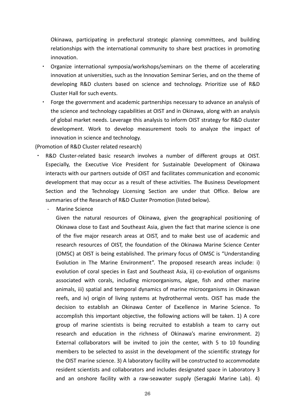Okinawa, participating in prefectural strategic planning committees, and building relationships with the international community to share best practices in promoting innovation.

- Organize international symposia/workshops/seminars on the theme of accelerating innovation at universities, such as the Innovation Seminar Series, and on the theme of developing R&D clusters based on science and technology. Prioritize use of R&D Cluster Hall for such events.
- Forge the government and academic partnerships necessary to advance an analysis of the science and technology capabilities at OIST and in Okinawa, along with an analysis of global market needs. Leverage this analysis to inform OIST strategy for R&D cluster development. Work to develop measurement tools to analyze the impact of innovation in science and technology.

(Promotion of R&D Cluster related research)

- R&D Cluster-related basic research involves a number of different groups at OIST. Especially, the Executive Vice President for Sustainable Development of Okinawa interacts with our partners outside of OIST and facilitates communication and economic development that may occur as a result of these activities. The Business Development Section and the Technology Licensing Section are under that Office. Below are summaries of the Research of R&D Cluster Promotion (listed below).
	- ‐ Marine Science

Given the natural resources of Okinawa, given the geographical positioning of Okinawa close to East and Southeast Asia, given the fact that marine science is one of the five major research areas at OIST, and to make best use of academic and research resources of OIST, the foundation of the Okinawa Marine Science Center (OMSC) at OIST is being established. The primary focus of OMSC is "Understanding Evolution in The Marine Environment". The proposed research areas include: i) evolution of coral species in East and Southeast Asia, ii) co-evolution of organisms associated with corals, including microorganisms, algae, fish and other marine animals, iii) spatial and temporal dynamics of marine microorganisms in Okinawan reefs, and iv) origin of living systems at hydrothermal vents. OIST has made the decision to establish an Okinawa Center of Excellence in Marine Science. To accomplish this important objective, the following actions will be taken. 1) A core group of marine scientists is being recruited to establish a team to carry out research and education in the richness of Okinawa's marine environment. 2) External collaborators will be invited to join the center, with 5 to 10 founding members to be selected to assist in the development of the scientific strategy for the OIST marine science. 3) A laboratory facility will be constructed to accommodate resident scientists and collaborators and includes designated space in Laboratory 3 and an onshore facility with a raw-seawater supply (Seragaki Marine Lab). 4)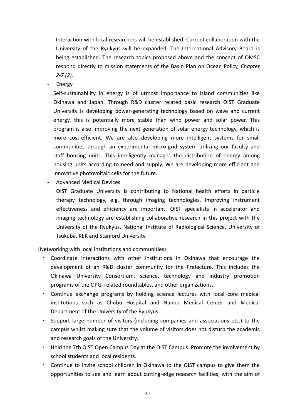Interaction with local researchers will be established. Current collaboration with the University of the Ryukyus will be expanded. The International Advisory Board is being established. The research topics proposed above and the concept of OMSC respond directly to mission statements of the Basin Plan on Ocean Policy, *Chapter 2‐7 (2).*

‐ Energy

Self-sustainability in energy is of utmost importance to island communities like Okinawa and Japan. Through R&D cluster related basic research OIST Graduate University is developing power‐generating technology based on wave and current energy, this is potentially more stable than wind power and solar power. This program is also improving the next generation of solar energy technology, which is more cost-efficient. We are also developing more intelligent systems for small communities through an experimental micro-grid system utilizing our faculty and staff housing units. This intelligently manages the distribution of energy among housing units according to need and supply. We are developing more efficient and innovative photovoltaic cells for the future.

‐ Advanced Medical Devices

OIST Graduate University is contributing to National health efforts in particle therapy technology, e.g. through imaging technologies. Improving instrument effectiveness and efficiency are important. OIST specialists in accelerator and imaging technology are establishing collaborative research in this project with the University of the Ryukyus, National Institute of Radiological Science, University of Tsukuba, KEK and Stanford University.

(Networking with local institutions and communities)

- Coordinate interactions with other institutions in Okinawa that encourage the development of an R&D cluster community for the Prefecture. This includes the Okinawa University Consortium, science, technology and industry promotion programs of the OPG, related roundtables, and other organizations.
- Continue exchange programs by holding science lectures with local core medical institutions such as Chubu Hospital and Nanbu Medical Center and Medical Department of the University of the Ryukyus.
- ・ Support large number of visitors (including companies and associations etc.) to the campus whilst making sure that the volume of visitors does not disturb the academic and research goals of the University.
- ・ Hold the 7th OIST Open Campus Day at the OIST Campus. Promote the involvement by school students and local residents.
- Continue to invite school children in Okinawa to the OIST campus to give them the opportunities to see and learn about cutting‐edge research facilities, with the aim of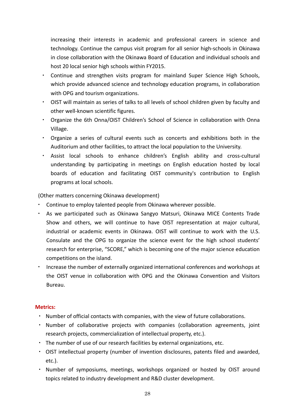increasing their interests in academic and professional careers in science and technology. Continue the campus visit program for all senior high‐schools in Okinawa in close collaboration with the Okinawa Board of Education and individual schools and host 20 local senior high schools within FY2015.

- Continue and strengthen visits program for mainland Super Science High Schools, which provide advanced science and technology education programs, in collaboration with OPG and tourism organizations.
- ・ OIST will maintain as series of talks to all levels of school children given by faculty and other well‐known scientific figures.
- ・ Organize the 6th Onna/OIST Children's School of Science in collaboration with Onna Village.
- ・ Organize a series of cultural events such as concerts and exhibitions both in the Auditorium and other facilities, to attract the local population to the University.
- Assist local schools to enhance children's English ability and cross-cultural understanding by participating in meetings on English education hosted by local boards of education and facilitating OIST community's contribution to English programs at local schools.

(Other matters concerning Okinawa development)

- Continue to employ talented people from Okinawa wherever possible.
- As we participated such as Okinawa Sangyo Matsuri, Okinawa MICE Contents Trade Show and others, we will continue to have OIST representation at major cultural, industrial or academic events in Okinawa. OIST will continue to work with the U.S. Consulate and the OPG to organize the science event for the high school students' research for enterprise, "SCORE," which is becoming one of the major science education competitions on the island.
- Increase the number of externally organized international conferences and workshops at the OIST venue in collaboration with OPG and the Okinawa Convention and Visitors Bureau.

#### **Metrics:**

- ・ Number of official contacts with companies, with the view of future collaborations.
- ・ Number of collaborative projects with companies (collaboration agreements, joint research projects, commercialization of intellectual property, etc.).
- ・ The number of use of our research facilities by external organizations, etc.
- ・ OIST intellectual property (number of invention disclosures, patents filed and awarded, etc.).
- ・ Number of symposiums, meetings, workshops organized or hosted by OIST around topics related to industry development and R&D cluster development.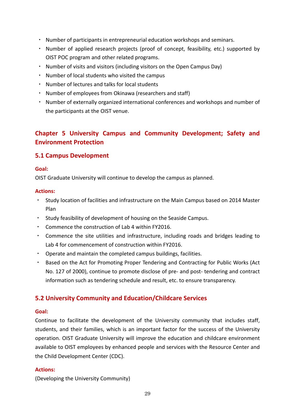- ・ Number of participants in entrepreneurial education workshops and seminars.
- ・ Number of applied research projects (proof of concept, feasibility, etc.) supported by OIST POC program and other related programs.
- Number of visits and visitors (including visitors on the Open Campus Day)
- ・ Number of local students who visited the campus
- ・ Number of lectures and talks for local students
- ・ Number of employees from Okinawa (researchers and staff)
- ・ Number of externally organized international conferences and workshops and number of the participants at the OIST venue.

# **Chapter 5 University Campus and Community Development; Safety and Environment Protection**

# **5.1 Campus Development**

#### **Goal:**

OIST Graduate University will continue to develop the campus as planned.

#### **Actions:**

- ・ Study location of facilities and infrastructure on the Main Campus based on 2014 Master Plan
- ・ Study feasibility of development of housing on the Seaside Campus.
- ・ Commence the construction of Lab 4 within FY2016.
- ・ Commence the site utilities and infrastructure, including roads and bridges leading to Lab 4 for commencement of construction within FY2016.
- ・ Operate and maintain the completed campus buildings, facilities.
- ・ Based on the Act for Promoting Proper Tendering and Contracting for Public Works (Act No. 127 of 2000), continue to promote disclose of pre- and post- tendering and contract information such as tendering schedule and result, etc. to ensure transparency.

# **5.2 University Community and Education/Childcare Services**

#### **Goal:**

Continue to facilitate the development of the University community that includes staff, students, and their families, which is an important factor for the success of the University operation. OIST Graduate University will improve the education and childcare environment available to OIST employees by enhanced people and services with the Resource Center and the Child Development Center (CDC).

#### **Actions:**

(Developing the University Community)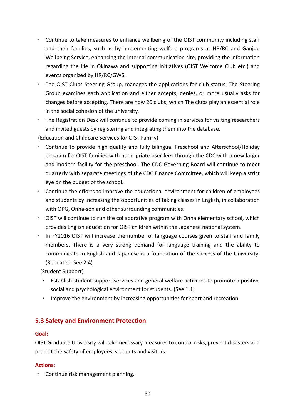- ・ Continue to take measures to enhance wellbeing of the OIST community including staff and their families, such as by implementing welfare programs at HR/RC and Ganjuu Wellbeing Service, enhancing the internal communication site, providing the information regarding the life in Okinawa and supporting initiatives (OIST Welcome Club etc.) and events organized by HR/RC/GWS.
- The OIST Clubs Steering Group, manages the applications for club status. The Steering Group examines each application and either accepts, denies, or more usually asks for changes before accepting. There are now 20 clubs, which The clubs play an essential role in the social cohesion of the university.
- ・ The Registration Desk will continue to provide coming in services for visiting researchers and invited guests by registering and integrating them into the database.

(Education and Childcare Services for OIST Family)

- Continue to provide high quality and fully bilingual Preschool and Afterschool/Holiday program for OIST families with appropriate user fees through the CDC with a new larger and modern facility for the preschool. The CDC Governing Board will continue to meet quarterly with separate meetings of the CDC Finance Committee, which will keep a strict eye on the budget of the school.
- ・ Continue the efforts to improve the educational environment for children of employees and students by increasing the opportunities of taking classes in English, in collaboration with OPG, Onna‐son and other surrounding communities.
- ・ OIST will continue to run the collaborative program with Onna elementary school, which provides English education for OIST children within the Japanese national system.
- In FY2016 OIST will increase the number of language courses given to staff and family members. There is a very strong demand for language training and the ability to communicate in English and Japanese is a foundation of the success of the University. (Repeated. See 2.4)

(Student Support)

- Establish student support services and general welfare activities to promote a positive social and psychological environment for students. (See 1.1)
- Improve the environment by increasing opportunities for sport and recreation.

# **5.3 Safety and Environment Protection**

#### **Goal:**

OIST Graduate University will take necessary measures to control risks, prevent disasters and protect the safety of employees, students and visitors.

#### **Actions:**

・ Continue risk management planning.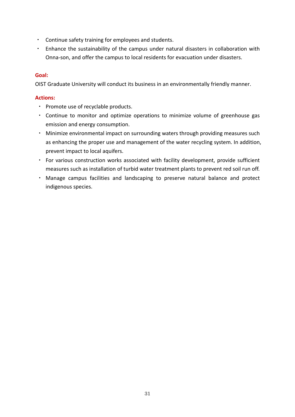- ・ Continue safety training for employees and students.
- ・ Enhance the sustainability of the campus under natural disasters in collaboration with Onna‐son, and offer the campus to local residents for evacuation under disasters.

#### **Goal:**

OIST Graduate University will conduct its business in an environmentally friendly manner.

#### **Actions:**

- ・ Promote use of recyclable products.
- ・ Continue to monitor and optimize operations to minimize volume of greenhouse gas emission and energy consumption.
- Minimize environmental impact on surrounding waters through providing measures such as enhancing the proper use and management of the water recycling system. In addition, prevent impact to local aquifers.
- ・ For various construction works associated with facility development, provide sufficient measures such as installation of turbid water treatment plants to prevent red soil run off.
- ・ Manage campus facilities and landscaping to preserve natural balance and protect indigenous species.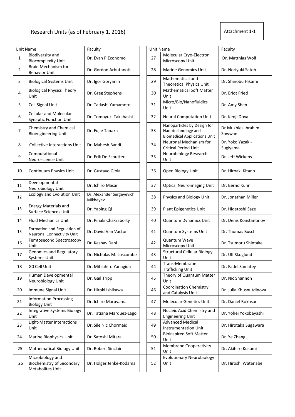| Attachment 1-1 |
|----------------|
|----------------|

|                | <b>Unit Name</b>                                                         | Faculty                               | <b>Unit Name</b> |                                                                                          | Faculty                      |
|----------------|--------------------------------------------------------------------------|---------------------------------------|------------------|------------------------------------------------------------------------------------------|------------------------------|
| $\mathbf{1}$   | Biodiversity and<br><b>Biocomplexity Unit</b>                            | Dr. Evan P.Economo                    | 27               | Molecular Cryo-Electron<br>Microscopy Unit                                               | Dr. Matthias Wolf            |
| $\overline{2}$ | Brain Mechanism for<br><b>Behavior Unit</b>                              | Dr. Gordon Arbuthnott                 | 28               | <b>Marine Genomics Unit</b>                                                              | Dr. Noriyuki Satoh           |
| 3              | <b>Biological Systems Unit</b>                                           | Dr. Igor Goryanin                     | 29               | Mathematical and<br><b>Theoretical Physics Unit</b>                                      | Dr. Shinobu Hikami           |
| 4              | <b>Biological Physics Theory</b><br>Unit                                 | Dr. Greg Stephens                     | 30               | <b>Mathematical Soft Matter</b><br>Unit                                                  | Dr. Eriot Fried              |
| 5              | Cell Signal Unit                                                         | Dr. Tadashi Yamamoto                  | 31               | Micro/Bio/Nanofluidics<br>Unit                                                           | Dr. Amy Shen                 |
| 6              | <b>Cellular and Molecular</b><br><b>Synaptic Function Unit</b>           | Dr. Tomoyuki Takahashi                | 32               | <b>Neural Computation Unit</b>                                                           | Dr. Kenji Doya               |
| $\overline{7}$ | Chemistry and Chemical<br><b>Bioengineering Unit</b>                     | Dr. Fujie Tanaka                      | 33               | Nanoparticles by Design for<br>Nanotechnology and<br><b>Biomedical Applications Unit</b> | Dr.Mukhles Ibrahim<br>Sowwan |
| 8              | <b>Collective Interactions Unit</b>                                      | Dr. Mahesh Bandi                      | 34               | Neuronal Mechanism for<br><b>Critical Period Unit</b>                                    | Dr. Yoko Yazaki-<br>Sugiyama |
| 9              | Computational<br>Neuroscience Unit                                       | Dr. Erik De Schutter                  | 35               | Neurobiology Research<br>Unit                                                            | Dr. Jeff Wickens             |
| 10             | Continuum Physics Unit                                                   | Dr. Gustavo Gioia                     | 36               | Open Biology Unit                                                                        | Dr. Hiroaki Kitano           |
| 11             | Developmental<br>Neurobiology Unit                                       | Dr. Ichiro Masai                      | 37               | <b>Optical Neuroimaging Unit</b>                                                         | Dr. Bernd Kuhn               |
| 12             | <b>Ecology and Evolution Unit</b>                                        | Dr. Alexander Sergeyevich<br>Mikheyev | 38               | Physics and Biology Unit                                                                 | Dr. Jonathan Miller          |
| 13             | <b>Energy Materials and</b><br>Surface Sciences Unit                     | Dr. Yabing Qi                         | 39               | Plant Epigenetics Unit                                                                   | Dr. Hidetoshi Saze           |
| 14             | <b>Fluid Mechanics Unit</b>                                              | Dr. Pinaki Chakraborty                | 40               | <b>Quantum Dynamics Unit</b>                                                             | Dr. Denis Konstantinov       |
| 15             | Formation and Regulation of<br>Neuronal Connectivity Unit                | Dr. David Van Vactor                  | 41               | Quantum Systems Unit                                                                     | Dr. Thomas Busch             |
| 16             | Femtosecond Spectroscopy<br>Unit                                         | Dr. Keshav Dani                       | 42               | Quantum Wave<br>Microscopy Unit                                                          | Dr. Tsumoru Shintake         |
| 17             | Genomics and Regulatory<br><b>Systems Unit</b>                           | Dr. Nicholas M. Luscombe              | 43               | <b>Structural Cellular Biology</b><br>Unit                                               | Dr. Ulf Skoglund             |
| 18             | GO Cell Unit                                                             | Dr. Mitsuhiro Yanagida                | 44               | Trans-Membrane<br><b>Trafficking Unit</b>                                                | Dr. Fadel Samatey            |
| 19             | Human Developmental<br>Neurobiology Unit                                 | Dr. Gail Tripp                        | 45               | Theory of Quantum Matter<br>Unit                                                         | Dr. Nic Shannon              |
| 20             | Immune Signal Unit                                                       | Dr. Hiroki Ishikawa                   | 46               | <b>Coordination Chemistry</b><br>and Catalysis Unit                                      | Dr. Julia Khusnutdinova      |
| 21             | <b>Information Processing</b><br><b>Biology Unit</b>                     | Dr. Ichiro Maruyama                   | 47               | <b>Molecular Genetics Unit</b>                                                           | Dr. Daniel Rokhsar           |
| 22             | <b>Integrative Systems Biology</b><br>Unit                               | Dr. Tatiana Marquez-Lago              | 48               | Nucleic Acid Chemistry and<br><b>Engineering Unit</b>                                    | Dr. Yohei Yokobayashi        |
| 23             | Light-Matter Interactions<br>Unit                                        | Dr. Sile Nic Chormaic                 | 49               | <b>Advanced Medical</b><br><b>Instrumentation Unit</b>                                   | Dr. Hirotaka Sugawara        |
| 24             | Marine Biophysics Unit                                                   | Dr. Satoshi Mitarai                   | 50               | <b>Bioinspired Soft Matter</b><br>Unit                                                   | Dr. Ye Zhang                 |
| 25             | Mathematical Biology Unit                                                | Dr. Robert Sinclair                   | 51               | <b>Membrane Cooperativity</b><br>Unit                                                    | Dr. Akihiro Kusumi           |
| 26             | Microbiology and<br><b>Biochemistry of Secondary</b><br>Metabolites Unit | Dr. Holger Jenke-Kodama               | 52               | <b>Evolutionary Neurobiology</b><br>Unit                                                 | Dr. Hiroshi Watanabe         |

|    |    |                                                                                          | Faculty                      |  |
|----|----|------------------------------------------------------------------------------------------|------------------------------|--|
|    | 27 | Molecular Cryo-Electron<br>Microscopy Unit                                               | Dr. Matthias Wolf            |  |
| 28 |    | <b>Marine Genomics Unit</b>                                                              | Dr. Noriyuki Satoh           |  |
| 29 |    | Mathematical and<br><b>Theoretical Physics Unit</b>                                      | Dr. Shinobu Hikami           |  |
|    | 30 | <b>Mathematical Soft Matter</b><br>Unit                                                  | Dr. Eriot Fried              |  |
|    | 31 | Micro/Bio/Nanofluidics<br>Unit                                                           | Dr. Amy Shen                 |  |
|    | 32 | <b>Neural Computation Unit</b>                                                           | Dr. Kenji Doya               |  |
|    | 33 | Nanoparticles by Design for<br>Nanotechnology and<br><b>Biomedical Applications Unit</b> | Dr.Mukhles Ibrahim<br>Sowwan |  |
|    | 34 | Neuronal Mechanism for<br><b>Critical Period Unit</b>                                    | Dr. Yoko Yazaki-<br>Sugiyama |  |
|    | 35 | Neurobiology Research<br>Unit                                                            | Dr. Jeff Wickens             |  |
|    | 36 | Open Biology Unit                                                                        | Dr. Hiroaki Kitano           |  |
|    | 37 | <b>Optical Neuroimaging Unit</b>                                                         | Dr. Bernd Kuhn               |  |
|    | 38 | Physics and Biology Unit                                                                 | Dr. Jonathan Miller          |  |
|    | 39 | <b>Plant Epigenetics Unit</b>                                                            | Dr. Hidetoshi Saze           |  |
|    | 40 | <b>Quantum Dynamics Unit</b>                                                             | Dr. Denis Konstantinov       |  |
|    | 41 | Quantum Systems Unit                                                                     | Dr. Thomas Busch             |  |
|    | 42 | <b>Quantum Wave</b><br>Microscopy Unit                                                   | Dr. Tsumoru Shintake         |  |
|    | 43 | <b>Structural Cellular Biology</b><br>Unit                                               | Dr. Ulf Skoglund             |  |
|    | 44 | Trans-Membrane<br><b>Trafficking Unit</b>                                                | Dr. Fadel Samatey            |  |
|    | 45 | Theory of Quantum Matter<br>Unit                                                         | Dr. Nic Shannon              |  |
|    | 46 | <b>Coordination Chemistry</b><br>and Catalysis Unit                                      | Dr. Julia Khusnutdinova      |  |
|    | 47 | <b>Molecular Genetics Unit</b>                                                           | Dr. Daniel Rokhsar           |  |
|    | 48 | Nucleic Acid Chemistry and<br><b>Engineering Unit</b>                                    | Dr. Yohei Yokobayashi        |  |
|    | 49 | <b>Advanced Medical</b><br><b>Instrumentation Unit</b>                                   | Dr. Hirotaka Sugawara        |  |
|    | 50 | <b>Bioinspired Soft Matter</b><br>Unit                                                   | Dr. Ye Zhang                 |  |
|    | 51 | <b>Membrane Cooperativity</b><br>Unit                                                    | Dr. Akihiro Kusumi           |  |
|    | 52 | <b>Evolutionary Neurobiology</b><br>Unit                                                 | Dr. Hiroshi Watanabe         |  |
|    |    |                                                                                          | <b>Unit Name</b>             |  |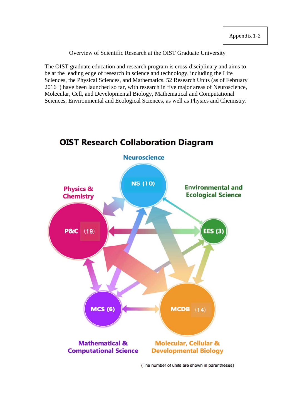#### Overview of Scientific Research at the OIST Graduate University

The OIST graduate education and research program is cross-disciplinary and aims to be at the leading edge of research in science and technology, including the Life Sciences, the Physical Sciences, and Mathematics. 52 Research Units (as of February 2016 ) have been launched so far, with research in five major areas of Neuroscience, Molecular, Cell, and Developmental Biology, Mathematical and Computational Sciences, Environmental and Ecological Sciences, as well as Physics and Chemistry.

# **OIST Research Collaboration Diagram**



(The number of units are shown in parentheses)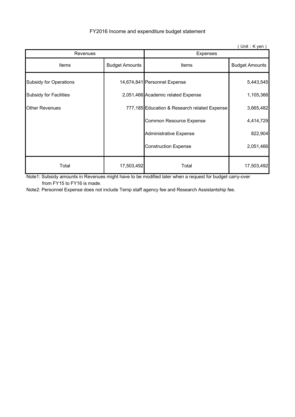|                               |                       |                                              | $($ Unit : K yen $)$  |  |
|-------------------------------|-----------------------|----------------------------------------------|-----------------------|--|
| Revenues                      |                       | <b>Expenses</b>                              |                       |  |
| <b>Items</b>                  | <b>Budget Amounts</b> | <b>Items</b>                                 | <b>Budget Amounts</b> |  |
| <b>Subsidy for Operations</b> |                       | 14,674,841 Personnel Expense                 | 5,443,545             |  |
| <b>Subsidy for Facilities</b> |                       | 2,051,466 Academic related Expense           | 1,105,366             |  |
| <b>Other Revenues</b>         |                       | 777,185 Education & Research related Expense | 3,665,482             |  |
|                               |                       | Common Resource Expense                      | 4,414,729             |  |
|                               |                       | <b>Administrative Expense</b>                | 822,904               |  |
|                               |                       | <b>Construction Expense</b>                  | 2,051,466             |  |
| Total                         | 17,503,492            | Total                                        | 17,503,492            |  |

FY2016 Income and expenditure budget statement

Note1: Subsidy amounts in Revenues might have to be modified later when a request for budget carry-over from FY15 to FY16 is made.

Note2: Personnel Expense does not include Temp staff agency fee and Research Assistantship fee.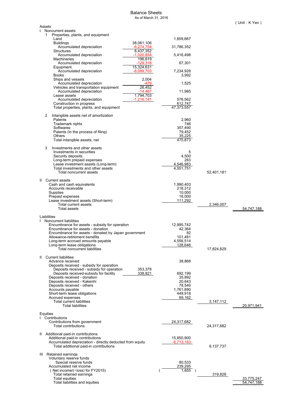#### Balance Sheets As of March 31, 2016

| Assets                                                                |                                                          |                           |                            |            |                          |
|-----------------------------------------------------------------------|----------------------------------------------------------|---------------------------|----------------------------|------------|--------------------------|
| $\mathbf{I}$<br>Noncurrent assets                                     |                                                          |                           |                            |            |                          |
| Properties, plants, and equipment<br>1<br>Land                        |                                                          |                           | 1,659,667                  |            |                          |
| <b>Buildings</b>                                                      |                                                          | 38,061,106                |                            |            |                          |
| Accumulated depreciation<br>Structures                                |                                                          | $-6,274,754$<br>6,437,352 | 31,786,352                 |            |                          |
| Accumulated depreciation                                              |                                                          | $-1,020,854$              | 5,416,498                  |            |                          |
| <b>Machineries</b>                                                    |                                                          | 196,619                   |                            |            |                          |
| Accumulated depreciation<br>Equipment                                 |                                                          | $-129,318$<br>15,324,631  | 67,301                     |            |                          |
| Accumulated depreciation                                              |                                                          | $-8,089,703$              | 7,234,928                  |            |                          |
| <b>Books</b><br>Ships and vessels                                     |                                                          | 2,004                     | 3,992                      |            |                          |
| Accumulated depreciation                                              |                                                          | -479                      | 1,525                      |            |                          |
|                                                                       | Vehicles and transportation equipment                    | 26,452                    |                            |            |                          |
| Accumulated depreciation<br>Lease assets                              |                                                          | -14,467<br>1,794,703      | 11,985                     |            |                          |
| Accumulated depreciation                                              |                                                          | $-1,216,141$              | 578,562                    |            |                          |
| Construction in progress                                              | Total properties, plants, and equipment                  |                           | 612,747<br>47,373,557      |            |                          |
|                                                                       |                                                          |                           |                            |            |                          |
| 2<br>Intangible assets net of amortization<br>Patents                 |                                                          |                           | 2,960                      |            |                          |
| Trademark rights                                                      |                                                          |                           | 746                        |            |                          |
| Softwares                                                             |                                                          |                           | 357,490                    |            |                          |
| Patents (in the process of filing)<br>Others                          |                                                          |                           | 79,452<br>35,225           |            |                          |
| Total intangible assets, net                                          |                                                          |                           | 475,873                    |            |                          |
| Investments and other assets<br>3                                     |                                                          |                           |                            |            |                          |
| Investments in securities                                             |                                                          |                           | 5                          |            |                          |
| Security deposits                                                     |                                                          |                           | 4,500<br>263               |            |                          |
| Long-term prepaid expenses<br>Lease investment assets (Long-term)     |                                                          |                           | 4,546,983                  |            |                          |
| Total investments and other assets                                    |                                                          |                           | $\overline{4,}551,751$     |            |                          |
| Total noncurrent assets                                               |                                                          |                           |                            | 52,401,181 |                          |
| II Current assets                                                     |                                                          |                           |                            |            |                          |
| Cash and cash equivalents<br>Accounts receivable                      |                                                          |                           | 1,990,403<br>218,312       |            |                          |
| Supplies                                                              |                                                          |                           | 10,000                     |            |                          |
| Prepaid expenses                                                      |                                                          |                           | 16,000                     |            |                          |
| Lease investment assets (Short-term)<br>Total current assets          |                                                          |                           | 111,292                    | 2,346,007  |                          |
| <b>Total assets</b>                                                   |                                                          |                           |                            |            | 54,747,188               |
| Liabilities                                                           |                                                          |                           |                            |            |                          |
| Noncurrent liabilities<br>L                                           |                                                          |                           |                            |            |                          |
|                                                                       | Encumbrance for assets - subsidy for operation           |                           | 12,995,742                 |            |                          |
| Encumbrance for assets - donation                                     | Encumbrance for assets - donated by Japan government     |                           | 42,364<br>82               |            |                          |
| Allowance-retirement benefits                                         |                                                          |                           | 101,481                    |            |                          |
| Long-term accrued amounts payable<br>Long-term lease obligations      |                                                          |                           | 4,556,514<br>128,646       |            |                          |
| Total noncurrent liabilities                                          |                                                          |                           |                            | 17,824,829 |                          |
| II Current liabilities                                                |                                                          |                           |                            |            |                          |
| Advance received                                                      |                                                          |                           | 38,868                     |            |                          |
| Deposits received - subsidy for operation                             |                                                          |                           |                            |            |                          |
| Deposits received-subsidy for facility                                | Deposits received - subsidy for operation                | 353,378<br>338,821        | 692,199                    |            |                          |
| Deposits received - donation                                          |                                                          |                           | 35,892                     |            |                          |
| Deposits received - Kakenhi<br>Deposits received - others             |                                                          |                           | 20,643<br>78,540           |            |                          |
| Accounts payable                                                      |                                                          |                           | 1,761,890                  |            |                          |
| Short-term lease obligations                                          |                                                          |                           | 449,918                    |            |                          |
| Accrued expenses<br><b>Total current liabilities</b>                  |                                                          |                           | 69,162                     | 3,147,112  |                          |
| <b>Total liabilities</b>                                              |                                                          |                           |                            |            | 20,971,941               |
| Equities                                                              |                                                          |                           |                            |            |                          |
| 1 Contributions                                                       |                                                          |                           |                            |            |                          |
| Contributions from government<br><b>Total contributions</b>           |                                                          |                           | 24,317,682                 |            |                          |
|                                                                       |                                                          |                           |                            | 24,317,682 |                          |
| II Additional paid-in contributions                                   |                                                          |                           |                            |            |                          |
| Additional paid-in contributions                                      | Accumulated depreciation - directly deducted from equity |                           | 15,850,900<br>$-6,713,163$ |            |                          |
| Total additional paid-in contributions                                |                                                          |                           |                            | 9,137,737  |                          |
| III Retained earnings                                                 |                                                          |                           |                            |            |                          |
| Voluntary reserve funds                                               |                                                          |                           |                            |            |                          |
| Special reserve funds                                                 |                                                          |                           | 80,533                     |            |                          |
| Accumulated net income<br>(Net income/( $\triangle$ loss) for FY2015) |                                                          |                           | 239,295<br>$1,655$ )       |            |                          |
| Total retained earnings                                               |                                                          |                           |                            | 319,828    |                          |
| Total equities<br>Total liabilities and equities                      |                                                          |                           |                            |            | 33,775,247<br>54.747.188 |
|                                                                       |                                                          |                           |                            |            |                          |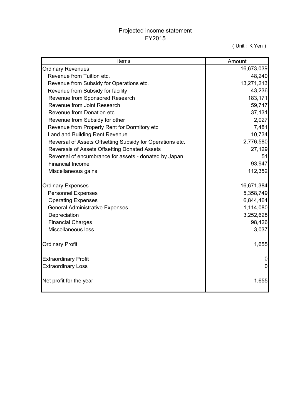# Projected income statement FY2015

(Unit:K Yen)

| Items                                                     | Amount         |
|-----------------------------------------------------------|----------------|
| <b>Ordinary Revenues</b>                                  | 16,673,039     |
| Revenue from Tuition etc.                                 | 48,240         |
| Revenue from Subsidy for Operations etc.                  | 13,271,213     |
| Revenue from Subsidy for facility                         | 43,236         |
| Revenue from Sponsored Research                           | 183,171        |
| Revenue from Joint Research                               | 59,747         |
| Revenue from Donation etc.                                | 37,131         |
| Revenue from Subsidy for other                            | 2,027          |
| Revenue from Property Rent for Dormitory etc.             | 7,481          |
| Land and Building Rent Revenue                            | 10,734         |
| Reversal of Assets Offsetting Subsidy for Operations etc. | 2,776,580      |
| Reversals of Assets Offsetting Donated Assets             | 27,129         |
| Reversal of encumbrance for assets - donated by Japan     | 51             |
| <b>Financial Income</b>                                   | 93,947         |
| Miscellaneous gains                                       | 112,352        |
| <b>Ordinary Expenses</b>                                  | 16,671,384     |
| <b>Personnel Expenses</b>                                 | 5,358,749      |
| <b>Operating Expenses</b>                                 | 6,844,464      |
| <b>General Administrative Expenses</b>                    | 1,114,080      |
| Depreciation                                              | 3,252,628      |
| <b>Financial Charges</b>                                  | 98,426         |
| Miscellaneous loss                                        | 3,037          |
| <b>Ordinary Profit</b>                                    | 1,655          |
| <b>Extraordinary Profit</b>                               |                |
| <b>Extraordinary Loss</b>                                 | $\overline{0}$ |
| Net profit for the year                                   | 1,655          |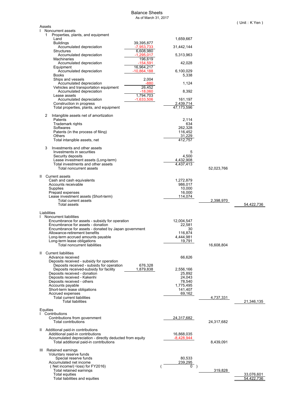#### Balance Sheets As of March 31, 2017

| Assets                                                                                       |                          |            |                          |
|----------------------------------------------------------------------------------------------|--------------------------|------------|--------------------------|
| $\mathbf{I}$<br>Noncurrent assets<br>1<br>Properties, plants, and equipment                  |                          |            |                          |
| Land                                                                                         | 1,659,667                |            |                          |
| <b>Buildings</b><br>39,395,877                                                               |                          |            |                          |
| Accumulated depreciation<br>-7,953,733                                                       | 31,442,144               |            |                          |
| 6,608,980<br><b>Structures</b><br>Accumulated depreciation<br>-1,295,017                     | 5,313,963                |            |                          |
| 196,619<br><b>Machineries</b>                                                                |                          |            |                          |
| $-154,591$<br>Accumulated depreciation                                                       | 42,028                   |            |                          |
| 16,964,217<br>Equipment<br>$-10,864,188$<br>Accumulated depreciation                         | 6,100,029                |            |                          |
| <b>Books</b>                                                                                 | 5,338                    |            |                          |
| 2,004<br>Ships and vessels                                                                   |                          |            |                          |
| Accumulated depreciation<br>-880<br>26,452<br>Vehicles and transportation equipment          | 1,124                    |            |                          |
| Accumulated depreciation<br>-18,060                                                          | 8,392                    |            |                          |
| 1,794,703<br>Lease assets                                                                    |                          |            |                          |
| Accumulated depreciation<br>-1,633,506<br>Construction in progress                           | 161,197<br>2,439,714     |            |                          |
| Total properties, plants, and equipment                                                      | 47,173,596               |            |                          |
|                                                                                              |                          |            |                          |
| Intangible assets net of amortization<br>2<br>Patents                                        | 2,114                    |            |                          |
| <b>Trademark rights</b>                                                                      | 634                      |            |                          |
| Softwares                                                                                    | 262,328                  |            |                          |
| Patents (in the process of filing)<br>Others                                                 | 116,452<br>31,229        |            |                          |
| Total intangible assets, net                                                                 | 412.757                  |            |                          |
|                                                                                              |                          |            |                          |
| Investments and other assets<br>3<br>Investments in securities                               | 5                        |            |                          |
| Security deposits                                                                            | 4,500                    |            |                          |
| Lease investment assets (Long-term)                                                          | 4,432,908                |            |                          |
| Total investments and other assets<br>Total noncurrent assets                                | 4,437,413                |            |                          |
|                                                                                              |                          | 52,023,766 |                          |
| II Current assets                                                                            |                          |            |                          |
| Cash and cash equivalents                                                                    | 1,272,879                |            |                          |
| Accounts receivable<br>Supplies                                                              | 986,017<br>10,000        |            |                          |
| Prepaid expenses                                                                             | 16,000                   |            |                          |
| Lease investment assets (Short-term)<br>Total current assets                                 | 114,074                  | 2,398,970  |                          |
|                                                                                              |                          |            |                          |
|                                                                                              |                          |            |                          |
| <b>Total assets</b>                                                                          |                          |            | 54,422,736               |
| Liabilities                                                                                  |                          |            |                          |
| I Noncurrent liabilities                                                                     |                          |            |                          |
| Encumbrance for assets - subsidy for operation<br>Encumbrance for assets - donation          | 12,004,547<br>22,581     |            |                          |
| Encumbrance for assets - donated by Japan government                                         | 30                       |            |                          |
| Allowance-retirement benefits                                                                | 116.874                  |            |                          |
| Long-term accrued amounts payable<br>Long-term lease obligations                             | 4,444,981<br>19,791      |            |                          |
| <b>Total noncurrent liabilities</b>                                                          |                          | 16.608.804 |                          |
| $\mathbf{H}$                                                                                 |                          |            |                          |
| <b>Current liabilities</b><br>Advance received                                               | 66,626                   |            |                          |
| Deposits received - subsidy for operation                                                    |                          |            |                          |
| 676,328<br>Deposits received - subsidy for operation                                         |                          |            |                          |
| Deposits received-subsidy for facility<br>1,879,838<br>Deposits received - donation          | 2,556,166<br>25,892      |            |                          |
| Deposits received - Kakenhi                                                                  | 24,043                   |            |                          |
| Deposits received - others                                                                   | 78,540                   |            |                          |
| Accounts payable<br>Short-term lease obligations                                             | 1,775,495<br>141,407     |            |                          |
| Accrued expenses                                                                             | 69,162                   |            |                          |
| <b>Total current liabilities</b>                                                             |                          | 4,737,331  |                          |
| <b>Total liabilities</b>                                                                     |                          |            | 21,346,135               |
| Equities                                                                                     |                          |            |                          |
| Contributions<br>L                                                                           |                          |            |                          |
| Contributions from government<br><b>Total contributions</b>                                  | 24,317,682               | 24,317,682 |                          |
|                                                                                              |                          |            |                          |
| II Additional paid-in contributions                                                          |                          |            |                          |
| Additional paid-in contributions<br>Accumulated depreciation - directly deducted from equity | 16,868,035<br>-8,428,944 |            |                          |
| Total additional paid-in contributions                                                       |                          | 8,439,091  |                          |
| Retained earnings<br>Ш                                                                       |                          |            |                          |
| Voluntary reserve funds                                                                      |                          |            |                          |
| Special reserve funds                                                                        | 80,533                   |            |                          |
| Accumulated net income<br>(Net income/ $($ $\triangle$ loss) for FY2016)                     | 239,295<br>$0$ )         |            |                          |
| Total retained earnings                                                                      |                          | 319,828    |                          |
| Total equities<br>Total liabilities and equities                                             |                          |            | 33,076,601<br>54.422.736 |